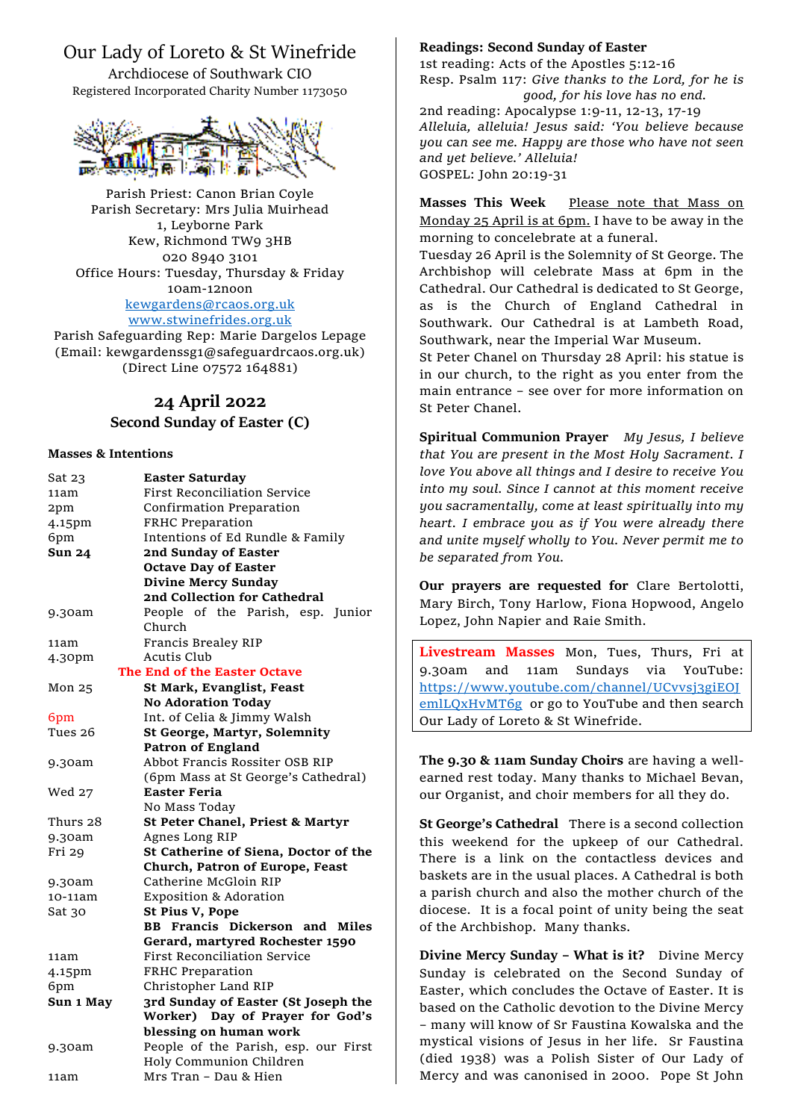# Our Lady of Loreto & St Winefride

Archdiocese of Southwark CIO Registered Incorporated Charity Number 1173050



Parish Priest: Canon Brian Coyle Parish Secretary: Mrs Julia Muirhead 1, Leyborne Park Kew, Richmond TW9 3HB 020 8940 3101 Office Hours: Tuesday, Thursday & Friday 10am-12noon [kewgardens@rcaos.org.uk](mailto:kewgardens@rcaos.org.uk) [www.stwinefrides.org.uk](http://www.stwinefrides.org.uk/)

Parish Safeguarding Rep: Marie Dargelos Lepage (Email: kewgardenssg1@safeguardrcaos.org.uk) (Direct Line 07572 164881)

## **24 April 2022**

### **Second Sunday of Easter (C)**

#### **Masses & Intentions**

| Sat 23        | <b>Easter Saturday</b>                |
|---------------|---------------------------------------|
| 11am          | First Reconciliation Service          |
| 2pm           | Confirmation Preparation              |
| 4.15pm        | FRHC Preparation                      |
| 6pm           | Intentions of Ed Rundle & Family      |
| <b>Sun 24</b> | 2nd Sunday of Easter                  |
|               | <b>Octave Day of Easter</b>           |
|               | <b>Divine Mercy Sunday</b>            |
|               | 2nd Collection for Cathedral          |
| 9.30am        | People of the Parish, esp. Junior     |
|               | Church                                |
| 11am          | Francis Brealey RIP                   |
| 4.30pm        | <b>Acutis Club</b>                    |
|               | The End of the Easter Octave          |
| Mon 25        | <b>St Mark, Evanglist, Feast</b>      |
|               | <b>No Adoration Today</b>             |
| 6pm           | Int. of Celia & Jimmy Walsh           |
| Tues 26       | <b>St George, Martyr, Solemnity</b>   |
|               | <b>Patron of England</b>              |
| 9.30am        | Abbot Francis Rossiter OSB RIP        |
|               | (6pm Mass at St George's Cathedral)   |
| Wed 27        | <b>Easter Feria</b>                   |
|               | No Mass Today                         |
| Thurs 28      | St Peter Chanel, Priest & Martyr      |
| 9.30am        | Agnes Long RIP                        |
| Fri 29        | St Catherine of Siena, Doctor of the  |
|               | Church, Patron of Europe, Feast       |
| 9.30am        | Catherine McGloin RIP                 |
| 10-11am       | <b>Exposition &amp; Adoration</b>     |
| Sat 30        | St Pius V, Pope                       |
|               | <b>BB Francis Dickerson and Miles</b> |
|               | Gerard, martyred Rochester 1590       |
| 11am          | <b>First Reconciliation Service</b>   |
| 4.15pm        | FRHC Preparation                      |
| 6pm           | Christopher Land RIP                  |
| Sun 1 May     | 3rd Sunday of Easter (St Joseph the   |
|               | Worker) Day of Prayer for God's       |
|               | blessing on human work                |
| 9.30am        | People of the Parish, esp. our First  |
|               | Holy Communion Children               |
| 11am          | Mrs Tran - Dau & Hien                 |

#### **Readings: Second Sunday of Easter**

1st reading: Acts of the Apostles 5:12-16 Resp. Psalm 117: *Give thanks to the Lord, for he is good, for his love has no end.*

2nd reading: Apocalypse 1:9-11, 12-13, 17-19 *Alleluia, alleluia! Jesus said: 'You believe because you can see me. Happy are those who have not seen and yet believe.' Alleluia!* GOSPEL: John 20:19-31

**Masses This Week Please note that Mass on** Monday 25 April is at 6pm. I have to be away in the morning to concelebrate at a funeral.

Tuesday 26 April is the Solemnity of St George. The Archbishop will celebrate Mass at 6pm in the Cathedral. Our Cathedral is dedicated to St George, as is the Church of England Cathedral in Southwark. Our Cathedral is at Lambeth Road, Southwark, near the Imperial War Museum.

St Peter Chanel on Thursday 28 April: his statue is in our church, to the right as you enter from the main entrance – see over for more information on St Peter Chanel.

**Spiritual Communion Prayer** *My Jesus, I believe that You are present in the Most Holy Sacrament. I love You above all things and I desire to receive You into my soul. Since I cannot at this moment receive you sacramentally, come at least spiritually into my heart. I embrace you as if You were already there and unite myself wholly to You. Never permit me to be separated from You.*

**Our prayers are requested for** Clare Bertolotti, Mary Birch, Tony Harlow, Fiona Hopwood, Angelo Lopez, John Napier and Raie Smith.

**Livestream Masses** Mon, Tues, Thurs, Fri at 9.30am and 11am Sundays via YouTube: [https://www.youtube.com/channel/UCvvsj3giEOJ](https://www.youtube.com/channel/UCvvsj3giEOJemlLQxHvMT6g) [emlLQxHvMT6g](https://www.youtube.com/channel/UCvvsj3giEOJemlLQxHvMT6g) or go to YouTube and then search Our Lady of Loreto & St Winefride.

**The 9.30 & 11am Sunday Choirs** are having a wellearned rest today. Many thanks to Michael Bevan, our Organist, and choir members for all they do.

**St George's Cathedral** There is a second collection this weekend for the upkeep of our Cathedral. There is a link on the contactless devices and baskets are in the usual places. A Cathedral is both a parish church and also the mother church of the diocese. It is a focal point of unity being the seat of the Archbishop. Many thanks.

**Divine Mercy Sunday – What is it?** Divine Mercy Sunday is celebrated on the Second Sunday of Easter, which concludes the Octave of Easter. It is based on the Catholic devotion to the Divine Mercy – many will know of Sr Faustina Kowalska and the mystical visions of Jesus in her life. Sr Faustina (died 1938) was a Polish Sister of Our Lady of Mercy and was canonised in 2000. Pope St John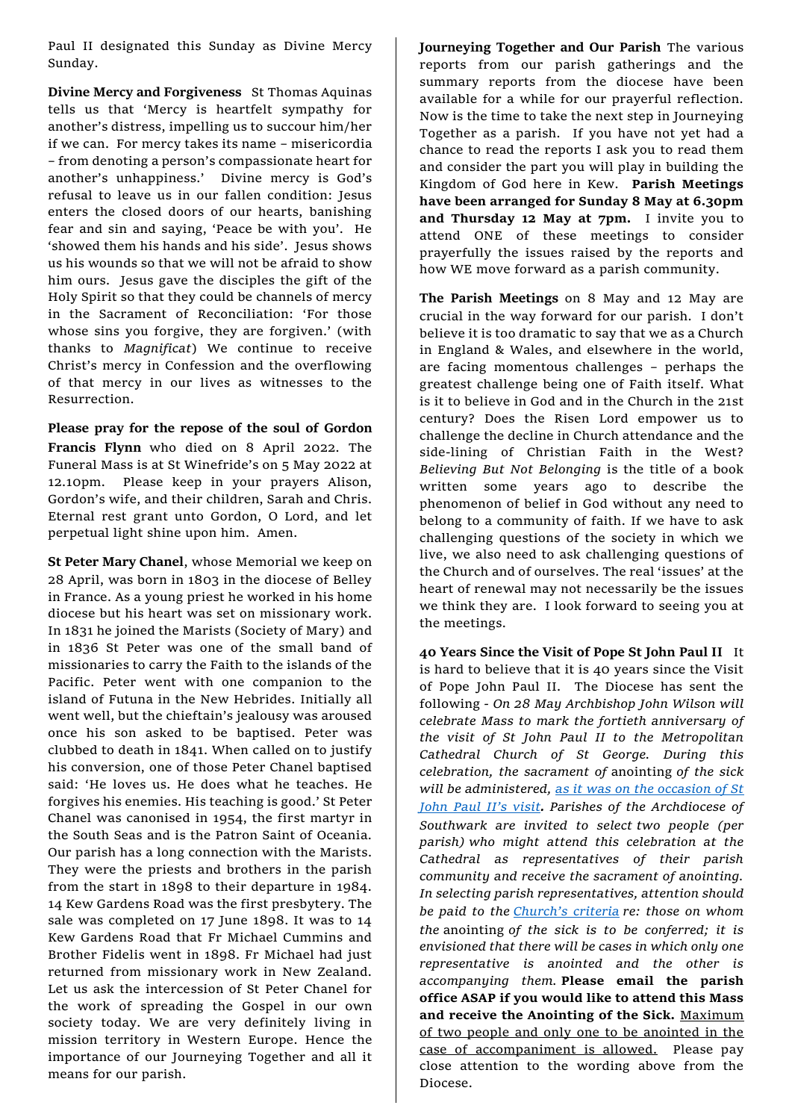Paul II designated this Sunday as Divine Mercy Sunday.

**Divine Mercy and Forgiveness** St Thomas Aquinas tells us that 'Mercy is heartfelt sympathy for another's distress, impelling us to succour him/her if we can. For mercy takes its name – misericordia – from denoting a person's compassionate heart for another's unhappiness.' Divine mercy is God's refusal to leave us in our fallen condition: Jesus enters the closed doors of our hearts, banishing fear and sin and saying, 'Peace be with you'. He 'showed them his hands and his side'. Jesus shows us his wounds so that we will not be afraid to show him ours. Jesus gave the disciples the gift of the Holy Spirit so that they could be channels of mercy in the Sacrament of Reconciliation: 'For those whose sins you forgive, they are forgiven.' (with thanks to *Magnificat*) We continue to receive Christ's mercy in Confession and the overflowing of that mercy in our lives as witnesses to the Resurrection.

**Please pray for the repose of the soul of Gordon Francis Flynn** who died on 8 April 2022. The Funeral Mass is at St Winefride's on 5 May 2022 at 12.10pm. Please keep in your prayers Alison, Gordon's wife, and their children, Sarah and Chris. Eternal rest grant unto Gordon, O Lord, and let perpetual light shine upon him. Amen.

**St Peter Mary Chanel**, whose Memorial we keep on 28 April, was born in 1803 in the diocese of Belley in France. As a young priest he worked in his home diocese but his heart was set on missionary work. In 1831 he joined the Marists (Society of Mary) and in 1836 St Peter was one of the small band of missionaries to carry the Faith to the islands of the Pacific. Peter went with one companion to the island of Futuna in the New Hebrides. Initially all went well, but the chieftain's jealousy was aroused once his son asked to be baptised. Peter was clubbed to death in 1841. When called on to justify his conversion, one of those Peter Chanel baptised said: 'He loves us. He does what he teaches. He forgives his enemies. His teaching is good.' St Peter Chanel was canonised in 1954, the first martyr in the South Seas and is the Patron Saint of Oceania. Our parish has a long connection with the Marists. They were the priests and brothers in the parish from the start in 1898 to their departure in 1984. 14 Kew Gardens Road was the first presbytery. The sale was completed on 17 June 1898. It was to 14 Kew Gardens Road that Fr Michael Cummins and Brother Fidelis went in 1898. Fr Michael had just returned from missionary work in New Zealand. Let us ask the intercession of St Peter Chanel for the work of spreading the Gospel in our own society today. We are very definitely living in mission territory in Western Europe. Hence the importance of our Journeying Together and all it means for our parish.

**Journeying Together and Our Parish** The various reports from our parish gatherings and the summary reports from the diocese have been available for a while for our prayerful reflection. Now is the time to take the next step in Journeying Together as a parish. If you have not yet had a chance to read the reports I ask you to read them and consider the part you will play in building the Kingdom of God here in Kew. **Parish Meetings have been arranged for Sunday 8 May at 6.30pm and Thursday 12 May at 7pm.** I invite you to attend ONE of these meetings to consider prayerfully the issues raised by the reports and how WE move forward as a parish community.

**The Parish Meetings** on 8 May and 12 May are crucial in the way forward for our parish. I don't believe it is too dramatic to say that we as a Church in England & Wales, and elsewhere in the world, are facing momentous challenges – perhaps the greatest challenge being one of Faith itself. What is it to believe in God and in the Church in the 21st century? Does the Risen Lord empower us to challenge the decline in Church attendance and the side-lining of Christian Faith in the West? *Believing But Not Belonging* is the title of a book written some years ago to describe the phenomenon of belief in God without any need to belong to a community of faith. If we have to ask challenging questions of the society in which we live, we also need to ask challenging questions of the Church and of ourselves. The real 'issues' at the heart of renewal may not necessarily be the issues we think they are. I look forward to seeing you at the meetings.

**40 Years Since the Visit of Pope St John Paul II** It is hard to believe that it is 40 years since the Visit of Pope John Paul II. The Diocese has sent the following *- On 28 May Archbishop John Wilson will celebrate Mass to mark the fortieth anniversary of the visit of St John Paul II to the Metropolitan Cathedral Church of St George. During this celebration, the sacrament of* anointing *of the sick will be administered, [as it was on the occasion of St](https://www.vatican.va/content/john-paul-ii/en/speeches/1982/may/documents/hf_jp-ii_spe_19820528_cattedrale-southwark.html)  [John Paul II's v](https://www.vatican.va/content/john-paul-ii/en/speeches/1982/may/documents/hf_jp-ii_spe_19820528_cattedrale-southwark.html)isit. Parishes of the Archdiocese of Southwark are invited to select two people (per parish) who might attend this celebration at the Cathedral as representatives of their parish community and receive the sacrament of anointing. In selecting parish representatives, attention should be paid to the [Church's criteria](https://www.vatican.va/archive/cod-iuris-canonici/eng/documents/cic_lib4-cann998-1165_en.html#CHAPTER_III.) re: those on whom the* anointing *of the sick is to be conferred; it is envisioned that there will be cases in which only one representative is anointed and the other is accompanying them.* **Please email the parish office ASAP if you would like to attend this Mass and receive the Anointing of the Sick.** Maximum of two people and only one to be anointed in the case of accompaniment is allowed. Please pay close attention to the wording above from the Diocese.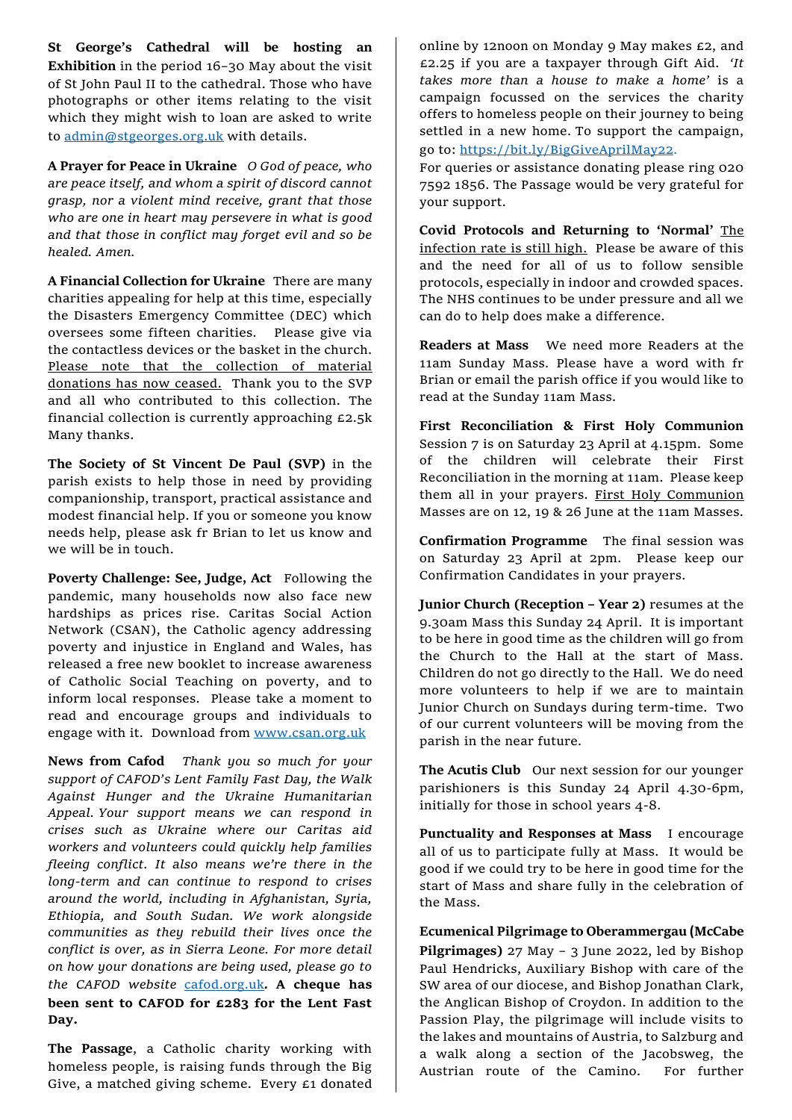**St George's Cathedral will be hosting an Exhibition** in the period 16–30 May about the visit of St John Paul II to the cathedral. Those who have photographs or other items relating to the visit which they might wish to loan are asked to write to [admin@stgeorges.org.uk](mailto:admin@stgeorges.org.uk) with details.

**A Prayer for Peace in Ukraine** *O God of peace, who are peace itself, and whom a spirit of discord cannot grasp, nor a violent mind receive, grant that those who are one in heart may persevere in what is good and that those in conflict may forget evil and so be healed. Amen.* 

**A Financial Collection for Ukraine** There are many charities appealing for help at this time, especially the Disasters Emergency Committee (DEC) which oversees some fifteen charities. Please give via the contactless devices or the basket in the church. Please note that the collection of material donations has now ceased. Thank you to the SVP and all who contributed to this collection. The financial collection is currently approaching £2.5k Many thanks.

**The Society of St Vincent De Paul (SVP)** in the parish exists to help those in need by providing companionship, transport, practical assistance and modest financial help. If you or someone you know needs help, please ask fr Brian to let us know and we will be in touch.

**Poverty Challenge: See, Judge, Act** Following the pandemic, many households now also face new hardships as prices rise. Caritas Social Action Network (CSAN), the Catholic agency addressing poverty and injustice in England and Wales, has released a free new booklet to increase awareness of Catholic Social Teaching on poverty, and to inform local responses. Please take a moment to read and encourage groups and individuals to engage with it. Download from [www.csan.org.uk](http://www.csan.org.uk/)

**News from Cafod** *Thank you so much for your support of CAFOD's Lent Family Fast Day, the Walk Against Hunger and the Ukraine Humanitarian Appeal. Your support means we can respond in crises such as Ukraine where our Caritas aid workers and volunteers could quickly help families fleeing conflict. It also means we're there in the long-term and can continue to respond to crises around the world, including in Afghanistan, Syria, Ethiopia, and South Sudan. We work alongside communities as they rebuild their lives once the conflict is over, as in Sierra Leone. For more detail on how your donations are being used, please go to the CAFOD website* [cafod.org.uk](http://www.cafod.org.uk/)*.* **A cheque has been sent to CAFOD for £283 for the Lent Fast Day.**

**The Passage**, a Catholic charity working with homeless people, is raising funds through the Big Give, a matched giving scheme. Every £1 donated

online by 12noon on Monday 9 May makes £2, and £2.25 if you are a taxpayer through Gift Aid. *'It takes more than a house to make a home'* is a campaign focussed on the services the charity offers to homeless people on their journey to being settled in a new home. To support the campaign, go to: <https://bit.ly/BigGiveAprilMay22>.

For queries or assistance donating please ring 020 7592 1856. The Passage would be very grateful for your support.

**Covid Protocols and Returning to 'Normal'** The infection rate is still high. Please be aware of this and the need for all of us to follow sensible protocols, especially in indoor and crowded spaces. The NHS continues to be under pressure and all we can do to help does make a difference.

**Readers at Mass** We need more Readers at the 11am Sunday Mass. Please have a word with fr Brian or email the parish office if you would like to read at the Sunday 11am Mass.

**First Reconciliation & First Holy Communion**  Session 7 is on Saturday 23 April at 4.15pm. Some of the children will celebrate their First Reconciliation in the morning at 11am. Please keep them all in your prayers. First Holy Communion Masses are on 12, 19 & 26 June at the 11am Masses.

**Confirmation Programme** The final session was on Saturday 23 April at 2pm. Please keep our Confirmation Candidates in your prayers.

**Junior Church (Reception – Year 2)** resumes at the 9.30am Mass this Sunday 24 April. It is important to be here in good time as the children will go from the Church to the Hall at the start of Mass. Children do not go directly to the Hall. We do need more volunteers to help if we are to maintain Junior Church on Sundays during term-time. Two of our current volunteers will be moving from the parish in the near future.

The Acutis Club Our next session for our younger parishioners is this Sunday 24 April 4.30-6pm, initially for those in school years 4-8.

**Punctuality and Responses at Mass** I encourage all of us to participate fully at Mass. It would be good if we could try to be here in good time for the start of Mass and share fully in the celebration of the Mass.

**Ecumenical Pilgrimage to Oberammergau (McCabe Pilgrimages)** 27 May – 3 June 2022, led by Bishop Paul Hendricks, Auxiliary Bishop with care of the SW area of our diocese, and Bishop Jonathan Clark, the Anglican Bishop of Croydon. In addition to the Passion Play, the pilgrimage will include visits to the lakes and mountains of Austria, to Salzburg and a walk along a section of the Jacobsweg, the Austrian route of the Camino. For further